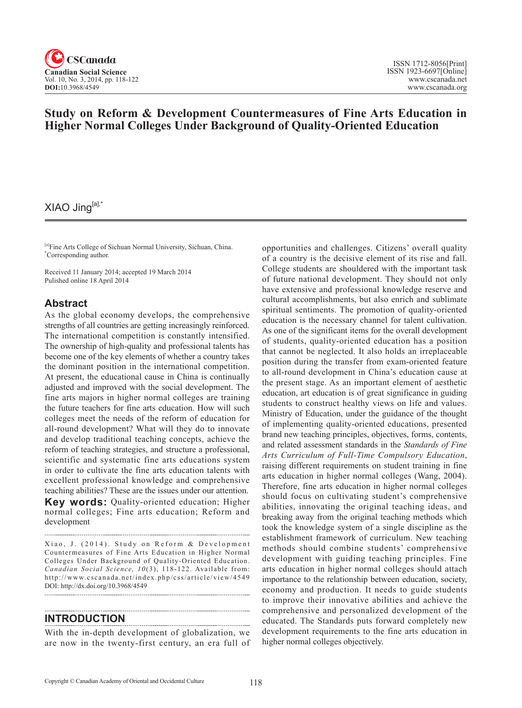

# **Study on Reform & Development Countermeasures of Fine Arts Education in Higher Normal Colleges Under Background of Quality-Oriented Education**

## XIAO Jing[a],\*

[a]Fine Arts College of Sichuan Normal University, Sichuan, China. \* Corresponding author.

Received 11 January 2014; accepted 19 March 2014 Pulished online 18 April 2014

#### **Abstract**

As the global economy develops, the comprehensive strengths of all countries are getting increasingly reinforced. The international competition is constantly intensified. The ownership of high-quality and professional talents has become one of the key elements of whether a country takes the dominant position in the international competition. At present, the educational cause in China is continually adjusted and improved with the social development. The fine arts majors in higher normal colleges are training the future teachers for fine arts education. How will such colleges meet the needs of the reform of education for all-round development? What will they do to innovate and develop traditional teaching concepts, achieve the reform of teaching strategies, and structure a professional, scientific and systematic fine arts educations system in order to cultivate the fine arts education talents with excellent professional knowledge and comprehensive teaching abilities? These are the issues under our attention.

**Key words:** Quality-oriented education; Higher normal colleges; Fine arts education; Reform and development

Xiao, J. (2014). Study on Reform & Development Countermeasures of Fine Arts Education in Higher Normal Colleges Under Background of Quality-Oriented Education. *Canadian Social Science, 10(3), 118-122. Available from:* http://www.cscanada.net/index.php/css/article/view/4549 DOI: http://dx.doi.org/10.3968/4549

#### **INTRODUCTION**

With the in-depth development of globalization, we are now in the twenty-first century, an era full of

opportunities and challenges. Citizens' overall quality of a country is the decisive element of its rise and fall. College students are shouldered with the important task of future national development. They should not only have extensive and professional knowledge reserve and cultural accomplishments, but also enrich and sublimate spiritual sentiments. The promotion of quality-oriented education is the necessary channel for talent cultivation. As one of the significant items for the overall development of students, quality-oriented education has a position that cannot be neglected. It also holds an irreplaceable position during the transfer from exam-oriented feature to all-round development in China's education cause at the present stage. As an important element of aesthetic education, art education is of great significance in guiding students to construct healthy views on life and values. Ministry of Education, under the guidance of the thought of implementing quality-oriented educations, presented brand new teaching principles, objectives, forms, contents, and related assessment standards in the *Standards of Fine Arts Curriculum of Full-Time Compulsory Education*, raising different requirements on student training in fine arts education in higher normal colleges (Wang, 2004). Therefore, fine arts education in higher normal colleges should focus on cultivating student's comprehensive abilities, innovating the original teaching ideas, and breaking away from the original teaching methods which took the knowledge system of a single discipline as the establishment framework of curriculum. New teaching methods should combine students' comprehensive development with guiding teaching principles. Fine arts education in higher normal colleges should attach importance to the relationship between education, society, economy and production. It needs to guide students to improve their innovative abilities and achieve the comprehensive and personalized development of the educated. The Standards puts forward completely new development requirements to the fine arts education in higher normal colleges objectively.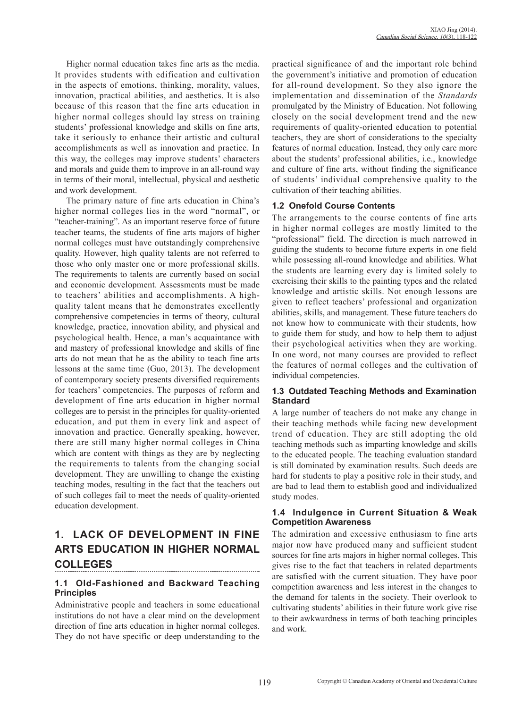Higher normal education takes fine arts as the media. It provides students with edification and cultivation in the aspects of emotions, thinking, morality, values, innovation, practical abilities, and aesthetics. It is also because of this reason that the fine arts education in higher normal colleges should lay stress on training students' professional knowledge and skills on fine arts, take it seriously to enhance their artistic and cultural accomplishments as well as innovation and practice. In this way, the colleges may improve students' characters and morals and guide them to improve in an all-round way in terms of their moral, intellectual, physical and aesthetic and work development.

The primary nature of fine arts education in China's higher normal colleges lies in the word "normal", or "teacher-training". As an important reserve force of future teacher teams, the students of fine arts majors of higher normal colleges must have outstandingly comprehensive quality. However, high quality talents are not referred to those who only master one or more professional skills. The requirements to talents are currently based on social and economic development. Assessments must be made to teachers' abilities and accomplishments. A highquality talent means that he demonstrates excellently comprehensive competencies in terms of theory, cultural knowledge, practice, innovation ability, and physical and psychological health. Hence, a man's acquaintance with and mastery of professional knowledge and skills of fine arts do not mean that he as the ability to teach fine arts lessons at the same time (Guo, 2013). The development of contemporary society presents diversified requirements for teachers' competencies. The purposes of reform and development of fine arts education in higher normal colleges are to persist in the principles for quality-oriented education, and put them in every link and aspect of innovation and practice. Generally speaking, however, there are still many higher normal colleges in China which are content with things as they are by neglecting the requirements to talents from the changing social development. They are unwilling to change the existing teaching modes, resulting in the fact that the teachers out of such colleges fail to meet the needs of quality-oriented education development.

#### **1. LACK OF DEVELOPMENT IN FINE ARTS EDUCATION IN HIGHER NORMAL COLLEGES**

### **1.1 Old-Fashioned and Backward Teaching Principles**

Administrative people and teachers in some educational institutions do not have a clear mind on the development direction of fine arts education in higher normal colleges. They do not have specific or deep understanding to the

practical significance of and the important role behind the government's initiative and promotion of education for all-round development. So they also ignore the implementation and dissemination of the *Standards* promulgated by the Ministry of Education. Not following closely on the social development trend and the new requirements of quality-oriented education to potential teachers, they are short of considerations to the specialty features of normal education. Instead, they only care more about the students' professional abilities, i.e., knowledge and culture of fine arts, without finding the significance of students' individual comprehensive quality to the cultivation of their teaching abilities.

### **1.2 Onefold Course Contents**

The arrangements to the course contents of fine arts in higher normal colleges are mostly limited to the "professional" field. The direction is much narrowed in guiding the students to become future experts in one field while possessing all-round knowledge and abilities. What the students are learning every day is limited solely to exercising their skills to the painting types and the related knowledge and artistic skills. Not enough lessons are given to reflect teachers' professional and organization abilities, skills, and management. These future teachers do not know how to communicate with their students, how to guide them for study, and how to help them to adjust their psychological activities when they are working. In one word, not many courses are provided to reflect the features of normal colleges and the cultivation of individual competencies.

#### **1.3 Outdated Teaching Methods and Examination Standard**

A large number of teachers do not make any change in their teaching methods while facing new development trend of education. They are still adopting the old teaching methods such as imparting knowledge and skills to the educated people. The teaching evaluation standard is still dominated by examination results. Such deeds are hard for students to play a positive role in their study, and are bad to lead them to establish good and individualized study modes.

#### **1.4 Indulgence in Current Situation & Weak Competition Awareness**

The admiration and excessive enthusiasm to fine arts major now have produced many and sufficient student sources for fine arts majors in higher normal colleges. This gives rise to the fact that teachers in related departments are satisfied with the current situation. They have poor competition awareness and less interest in the changes to the demand for talents in the society. Their overlook to cultivating students' abilities in their future work give rise to their awkwardness in terms of both teaching principles and work.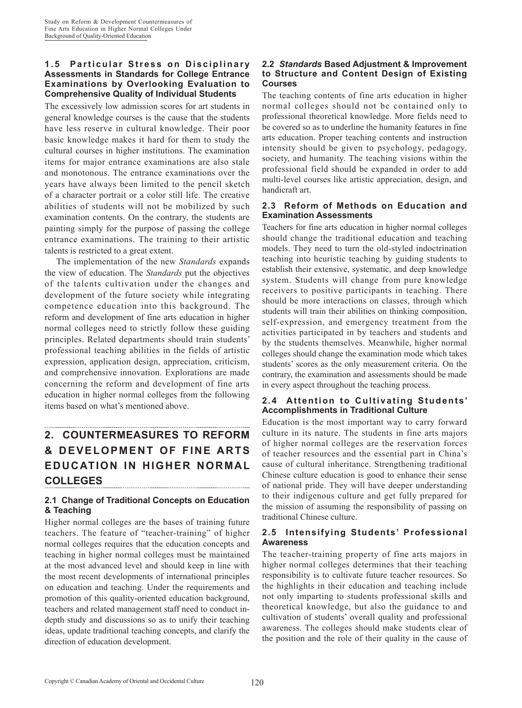#### **1.5 Particular Stress on Disciplinary Assessments in Standards for College Entrance Examinations by Overlooking Evaluation to Comprehensive Quality of Individual Students**

The excessively low admission scores for art students in general knowledge courses is the cause that the students have less reserve in cultural knowledge. Their poor basic knowledge makes it hard for them to study the cultural courses in higher institutions. The examination items for major entrance examinations are also stale and monotonous. The entrance examinations over the years have always been limited to the pencil sketch of a character portrait or a color still life. The creative abilities of students will not be mobilized by such examination contents. On the contrary, the students are painting simply for the purpose of passing the college entrance examinations. The training to their artistic talents is restricted to a great extent.

The implementation of the new *Standards* expands the view of education. The *Standards* put the objectives of the talents cultivation under the changes and development of the future society while integrating competence education into this background. The reform and development of fine arts education in higher normal colleges need to strictly follow these guiding principles. Related departments should train students' professional teaching abilities in the fields of artistic expression, application design, appreciation, criticism, and comprehensive innovation. Explorations are made concerning the reform and development of fine arts education in higher normal colleges from the following items based on what's mentioned above.

### **2. COUNTERMEASURES TO REFORM & DEVELOPMENT OF FINE ARTS EDUCATION IN HIGHER NORMAL COLLEGES**

#### **2.1 Change of Traditional Concepts on Education & Teaching**

Higher normal colleges are the bases of training future teachers. The feature of "teacher-training" of higher normal colleges requires that the education concepts and teaching in higher normal colleges must be maintained at the most advanced level and should keep in line with the most recent developments of international principles on education and teaching. Under the requirements and promotion of this quality-oriented education background, teachers and related management staff need to conduct indepth study and discussions so as to unify their teaching ideas, update traditional teaching concepts, and clarify the direction of education development.

#### **2.2** *Standards* **Based Adjustment & Improvement to Structure and Content Design of Existing Courses**

The teaching contents of fine arts education in higher normal colleges should not be contained only to professional theoretical knowledge. More fields need to be covered so as to underline the humanity features in fine arts education. Proper teaching contents and instruction intensity should be given to psychology, pedagogy, society, and humanity. The teaching visions within the professional field should be expanded in order to add multi-level courses like artistic appreciation, design, and handicraft art.

#### **2.3 Reform of Methods on Education and Examination Assessments**

Teachers for fine arts education in higher normal colleges should change the traditional education and teaching models. They need to turn the old-styled indoctrination teaching into heuristic teaching by guiding students to establish their extensive, systematic, and deep knowledge system. Students will change from pure knowledge receivers to positive participants in teaching. There should be more interactions on classes, through which students will train their abilities on thinking composition, self-expression, and emergency treatment from the activities participated in by teachers and students and by the students themselves. Meanwhile, higher normal colleges should change the examination mode which takes students' scores as the only measurement criteria. On the contrary, the examination and assessments should be made in every aspect throughout the teaching process.

#### **2.4 Attention to Cultivating Students' Accomplishments in Traditional Culture**

Education is the most important way to carry forward culture in its nature. The students in fine arts majors of higher normal colleges are the reservation forces of teacher resources and the essential part in China's cause of cultural inheritance. Strengthening traditional Chinese culture education is good to enhance their sense of national pride. They will have deeper understanding to their indigenous culture and get fully prepared for the mission of assuming the responsibility of passing on traditional Chinese culture.

#### **2.5 Intensifying Students' Professional Awareness**

The teacher-training property of fine arts majors in higher normal colleges determines that their teaching responsibility is to cultivate future teacher resources. So the highlights in their education and teaching include not only imparting to students professional skills and theoretical knowledge, but also the guidance to and cultivation of students' overall quality and professional awareness. The colleges should make students clear of the position and the role of their quality in the cause of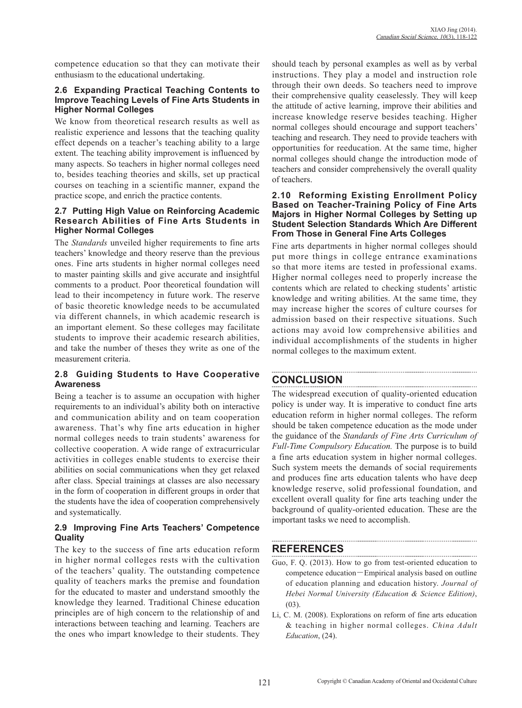competence education so that they can motivate their enthusiasm to the educational undertaking.

#### **2.6 Expanding Practical Teaching Contents to Improve Teaching Levels of Fine Arts Students in Higher Normal Colleges**

We know from theoretical research results as well as realistic experience and lessons that the teaching quality effect depends on a teacher's teaching ability to a large extent. The teaching ability improvement is influenced by many aspects. So teachers in higher normal colleges need to, besides teaching theories and skills, set up practical courses on teaching in a scientific manner, expand the practice scope, and enrich the practice contents.

#### **2.7 Putting High Value on Reinforcing Academic Research Abilities of Fine Arts Students in Higher Normal Colleges**

The *Standards* unveiled higher requirements to fine arts teachers' knowledge and theory reserve than the previous ones. Fine arts students in higher normal colleges need to master painting skills and give accurate and insightful comments to a product. Poor theoretical foundation will lead to their incompetency in future work. The reserve of basic theoretic knowledge needs to be accumulated via different channels, in which academic research is an important element. So these colleges may facilitate students to improve their academic research abilities, and take the number of theses they write as one of the measurement criteria.

#### **2.8 Guiding Students to Have Cooperative Awareness**

Being a teacher is to assume an occupation with higher requirements to an individual's ability both on interactive and communication ability and on team cooperation awareness. That's why fine arts education in higher normal colleges needs to train students' awareness for collective cooperation. A wide range of extracurricular activities in colleges enable students to exercise their abilities on social communications when they get relaxed after class. Special trainings at classes are also necessary in the form of cooperation in different groups in order that the students have the idea of cooperation comprehensively and systematically.

#### **2.9 Improving Fine Arts Teachers' Competence Quality**

The key to the success of fine arts education reform in higher normal colleges rests with the cultivation of the teachers' quality. The outstanding competence quality of teachers marks the premise and foundation for the educated to master and understand smoothly the knowledge they learned. Traditional Chinese education principles are of high concern to the relationship of and interactions between teaching and learning. Teachers are the ones who impart knowledge to their students. They should teach by personal examples as well as by verbal instructions. They play a model and instruction role through their own deeds. So teachers need to improve their comprehensive quality ceaselessly. They will keep the attitude of active learning, improve their abilities and increase knowledge reserve besides teaching. Higher normal colleges should encourage and support teachers' teaching and research. They need to provide teachers with opportunities for reeducation. At the same time, higher normal colleges should change the introduction mode of teachers and consider comprehensively the overall quality of teachers.

#### **2.10 Reforming Existing Enrollment Policy Based on Teacher-Training Policy of Fine Arts Majors in Higher Normal Colleges by Setting up Student Selection Standards Which Are Different From Those in General Fine Arts Colleges**

Fine arts departments in higher normal colleges should put more things in college entrance examinations so that more items are tested in professional exams. Higher normal colleges need to properly increase the contents which are related to checking students' artistic knowledge and writing abilities. At the same time, they may increase higher the scores of culture courses for admission based on their respective situations. Such actions may avoid low comprehensive abilities and individual accomplishments of the students in higher normal colleges to the maximum extent.

# **CONCLUSION**

The widespread execution of quality-oriented education policy is under way. It is imperative to conduct fine arts education reform in higher normal colleges. The reform should be taken competence education as the mode under the guidance of the *Standards of Fine Arts Curriculum of Full-Time Compulsory Education.* The purpose is to build a fine arts education system in higher normal colleges. Such system meets the demands of social requirements and produces fine arts education talents who have deep knowledge reserve, solid professional foundation, and excellent overall quality for fine arts teaching under the background of quality-oriented education. These are the important tasks we need to accomplish.

## **REFERENCES**

- Guo, F. Q. (2013). How to go from test-oriented education to competence education-Empirical analysis based on outline of education planning and education history. *Journal of Hebei Normal University (Education & Science Edition)*,  $(03)$ .
- Li, C. M. (2008). Explorations on reform of fine arts education & teaching in higher normal colleges. *China Adult Education*, (24).